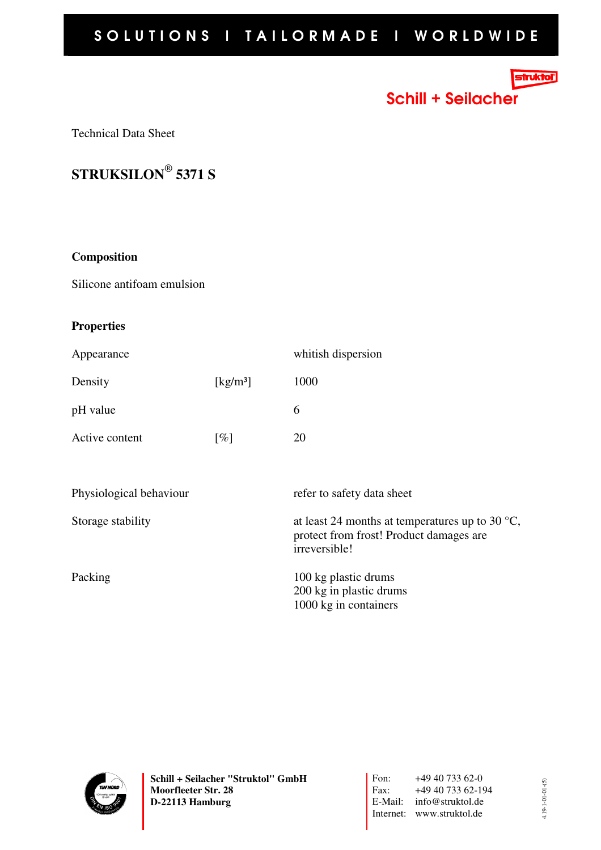# SOLUTIONS I TAILORMADE I WORLDWIDE

## **truktoľ**

Schill + Seilacher

Technical Data Sheet

**STRUKSILON**®  **5371 S**

#### **Composition**

Silicone antifoam emulsion

### **Properties**

| Appearance              |                                | whitish dispersion                                                                                                    |
|-------------------------|--------------------------------|-----------------------------------------------------------------------------------------------------------------------|
| Density                 | $\left[\mathrm{kg/m^3}\right]$ | 1000                                                                                                                  |
| pH value                |                                | 6                                                                                                                     |
| Active content          | $\lceil \% \rceil$             | 20                                                                                                                    |
|                         |                                |                                                                                                                       |
| Physiological behaviour |                                | refer to safety data sheet                                                                                            |
| Storage stability       |                                | at least 24 months at temperatures up to 30 $^{\circ}$ C,<br>protect from frost! Product damages are<br>irreversible! |
| Packing                 |                                | 100 kg plastic drums<br>200 kg in plastic drums<br>1000 kg in containers                                              |

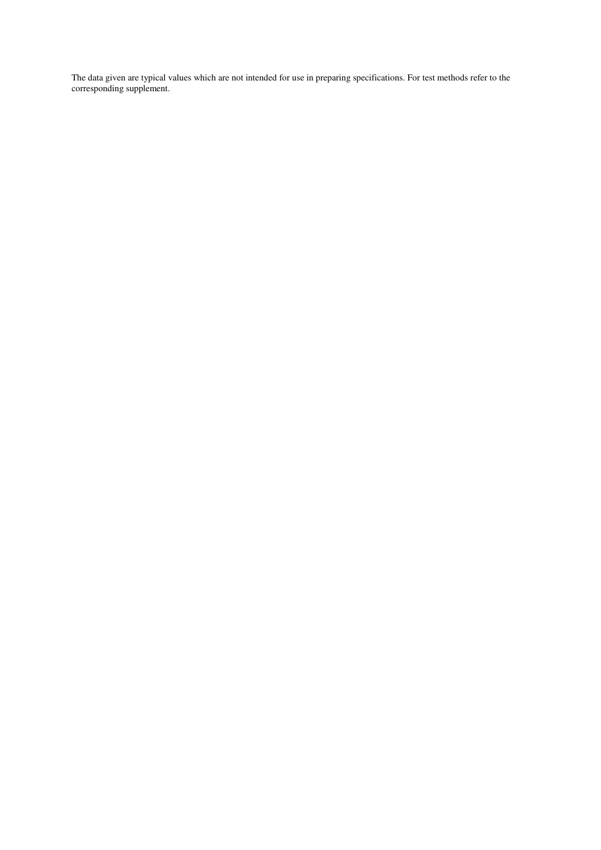The data given are typical values which are not intended for use in preparing specifications. For test methods refer to the corresponding supplement.